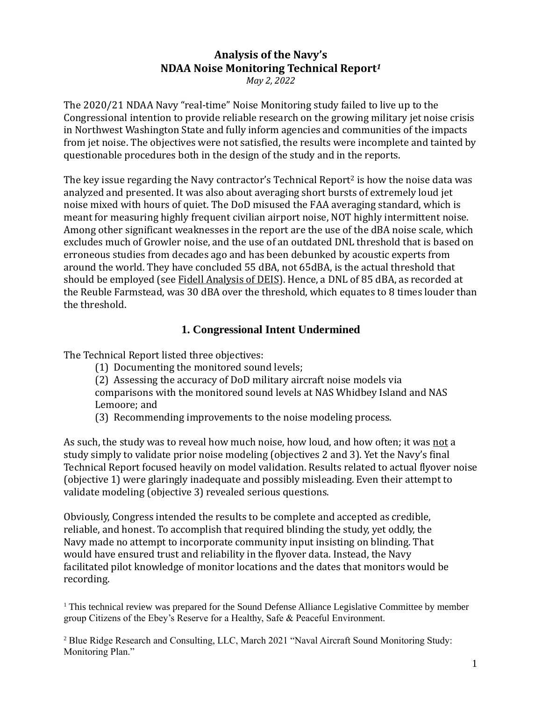# **Analysis of the Navy's NDAA Noise Monitoring Technical Report***<sup>1</sup>*

*May 2, 2022*

The 2020/21 NDAA Navy "real-time" Noise Monitoring study failed to live up to the Congressional intention to provide reliable research on the growing military jet noise crisis in Northwest Washington State and fully inform agencies and communities of the impacts from jet noise. The objectives were not satisfied, the results were incomplete and tainted by questionable procedures both in the design of the study and in the reports.

The key issue regarding the Navy contractor's Technical Report<sup>2</sup> is how the noise data was analyzed and presented. It was also about averaging short bursts of extremely loud jet noise mixed with hours of quiet. The DoD misused the FAA averaging standard, which is meant for measuring highly frequent civilian airport noise, NOT highly intermittent noise. Among other significant weaknesses in the report are the use of the dBA noise scale, which excludes much of Growler noise, and the use of an outdated DNL threshold that is based on erroneous studies from decades ago and has been debunked by acoustic experts from around the world. They have concluded 55 dBA, not 65dBA, is the actual threshold that should be employed (see [Fidell Analysis of DEIS\)](about:blank). Hence, a DNL of 85 dBA, as recorded at the Reuble Farmstead, was 30 dBA over the threshold, which equates to 8 times louder than the threshold.

# **1. Congressional Intent Undermined**

The Technical Report listed three objectives:

- (1) Documenting the monitored sound levels;
- (2) Assessing the accuracy of DoD military aircraft noise models via comparisons with the monitored sound levels at NAS Whidbey Island and NAS Lemoore; and
- (3) Recommending improvements to the noise modeling process.

As such, the study was to reveal how much noise, how loud, and how often; it was not a study simply to validate prior noise modeling (objectives 2 and 3). Yet the Navy's final Technical Report focused heavily on model validation. Results related to actual flyover noise (objective 1) were glaringly inadequate and possibly misleading. Even their attempt to validate modeling (objective 3) revealed serious questions.

Obviously, Congress intended the results to be complete and accepted as credible, reliable, and honest. To accomplish that required blinding the study, yet oddly, the Navy made no attempt to incorporate community input insisting on blinding. That would have ensured trust and reliability in the flyover data. Instead, the Navy facilitated pilot knowledge of monitor locations and the dates that monitors would be recording.

<sup>1</sup> This technical review was prepared for the Sound Defense Alliance Legislative Committee by member group Citizens of the Ebey's Reserve for a Healthy, Safe & Peaceful Environment.

<sup>2</sup> Blue Ridge Research and Consulting, LLC, March 2021 "Naval Aircraft Sound Monitoring Study: Monitoring Plan."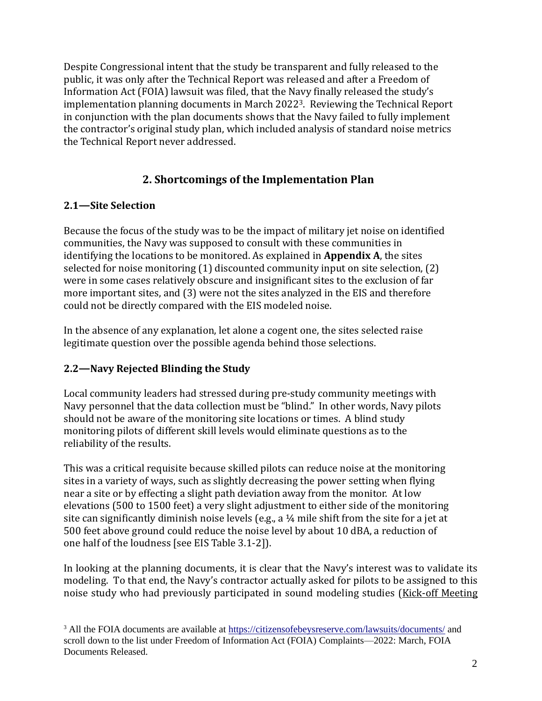Despite Congressional intent that the study be transparent and fully released to the public, it was only after the Technical Report was released and after a Freedom of Information Act (FOIA) lawsuit was filed, that the Navy finally released the study's implementation planning documents in March 20223. Reviewing the Technical Report in conjunction with the plan documents shows that the Navy failed to fully implement the contractor's original study plan, which included analysis of standard noise metrics the Technical Report never addressed.

# **2. Shortcomings of the Implementation Plan**

#### **2.1—Site Selection**

Because the focus of the study was to be the impact of military jet noise on identified communities, the Navy was supposed to consult with these communities in identifying the locations to be monitored. As explained in **Appendix A**, the sites selected for noise monitoring (1) discounted community input on site selection, (2) were in some cases relatively obscure and insignificant sites to the exclusion of far more important sites, and (3) were not the sites analyzed in the EIS and therefore could not be directly compared with the EIS modeled noise.

In the absence of any explanation, let alone a cogent one, the sites selected raise legitimate question over the possible agenda behind those selections.

#### **2.2—Navy Rejected Blinding the Study**

Local community leaders had stressed during pre-study community meetings with Navy personnel that the data collection must be "blind." In other words, Navy pilots should not be aware of the monitoring site locations or times. A blind study monitoring pilots of different skill levels would eliminate questions as to the reliability of the results.

This was a critical requisite because skilled pilots can reduce noise at the monitoring sites in a variety of ways, such as slightly decreasing the power setting when flying near a site or by effecting a slight path deviation away from the monitor. At low elevations (500 to 1500 feet) a very slight adjustment to either side of the monitoring site can significantly diminish noise levels (e.g., a ¼ mile shift from the site for a jet at 500 feet above ground could reduce the noise level by about 10 dBA, a reduction of one half of the loudness [see EIS Table 3.1-2]).

In looking at the planning documents, it is clear that the Navy's interest was to validate its modeling. To that end, the Navy's contractor actually asked for pilots to be assigned to this noise study who had previously participated in sound modeling studies [\(Kick-off Meeting](https://citizensofebeysreserve.com/wp-content/uploads/2022/04/Navy-Sound-Monitoring_Kickoff-Notes_May-2020_REDACTIONS_Redacted.pdf) 

<sup>3</sup> All the FOIA documents are available at<https://citizensofebeysreserve.com/lawsuits/documents/> and scroll down to the list under Freedom of Information Act (FOIA) Complaints—2022: March, FOIA Documents Released.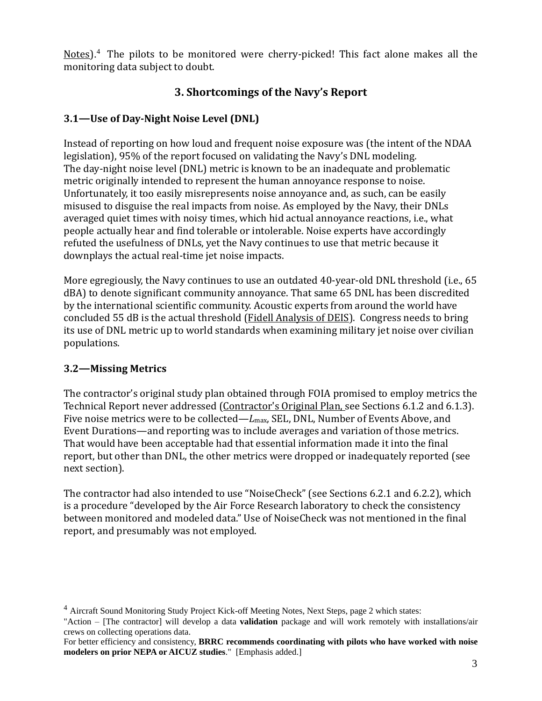[Notes\)](https://citizensofebeysreserve.com/wp-content/uploads/2022/04/Navy-Sound-Monitoring_Kickoff-Notes_May-2020_REDACTIONS_Redacted.pdf).<sup>4</sup> The pilots to be monitored were cherry-picked! This fact alone makes all the monitoring data subject to doubt.

# **3. Shortcomings of the Navy's Report**

## **3.1—Use of Day-Night Noise Level (DNL)**

Instead of reporting on how loud and frequent noise exposure was (the intent of the NDAA legislation), 95% of the report focused on validating the Navy's DNL modeling. The day-night noise level (DNL) metric is known to be an inadequate and problematic metric originally intended to represent the human annoyance response to noise. Unfortunately, it too easily misrepresents noise annoyance and, as such, can be easily misused to disguise the real impacts from noise. As employed by the Navy, their DNLs averaged quiet times with noisy times, which hid actual annoyance reactions, i.e., what people actually hear and find tolerable or intolerable. Noise experts have accordingly refuted the usefulness of DNLs, yet the Navy continues to use that metric because it downplays the actual real-time jet noise impacts.

More egregiously, the Navy continues to use an outdated 40-year-old DNL threshold (i.e., 65 dBA) to denote significant community annoyance. That same 65 DNL has been discredited by the international scientific community. Acoustic experts from around the world have concluded 55 dB is the actual threshold [\(Fidell Analysis of DEIS\)](about:blank). Congress needs to bring its use of DNL metric up to world standards when examining military jet noise over civilian populations.

#### **3.2—Missing Metrics**

The contractor's original study plan obtained through FOIA promised to employ metrics the Technical Report never addressed [\(Contractor's Original Plan,](https://citizensofebeysreserve.com/wp-content/uploads/2022/04/2021-03-14-Navy-Monitoring-Plan-Final-REDACTIONS_Redacted.pdf) see Sections 6.1.2 and 6.1.3). Five noise metrics were to be collected—*L*max, SEL, DNL, Number of Events Above, and Event Durations—and reporting was to include averages and variation of those metrics. That would have been acceptable had that essential information made it into the final report, but other than DNL, the other metrics were dropped or inadequately reported (see next section).

The contractor had also intended to use "NoiseCheck" (see Sections 6.2.1 and 6.2.2), which is a procedure "developed by the Air Force Research laboratory to check the consistency between monitored and modeled data." Use of NoiseCheck was not mentioned in the final report, and presumably was not employed.

<sup>&</sup>lt;sup>4</sup> Aircraft Sound Monitoring Study Project Kick-off Meeting Notes, Next Steps, page 2 which states:

<sup>&</sup>quot;Action – [The contractor] will develop a data **validation** package and will work remotely with installations/air crews on collecting operations data.

For better efficiency and consistency, **BRRC recommends coordinating with pilots who have worked with noise modelers on prior NEPA or AICUZ studies**." [Emphasis added.]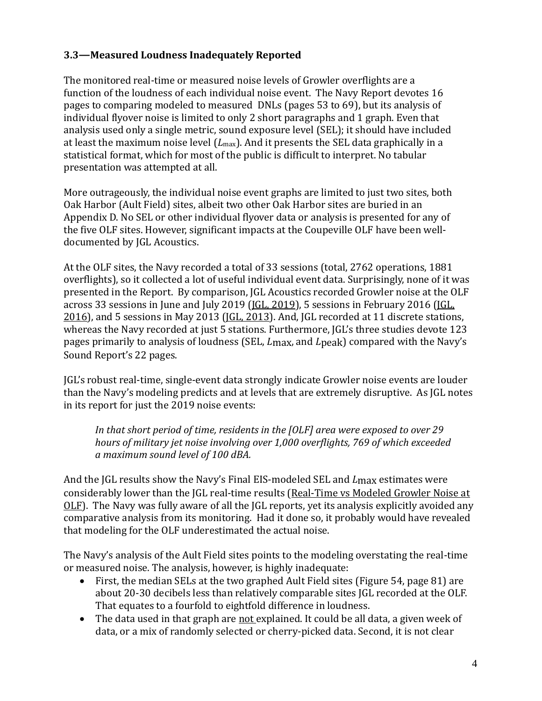### **3.3—Measured Loudness Inadequately Reported**

The monitored real-time or measured noise levels of Growler overflights are a function of the loudness of each individual noise event. The Navy Report devotes 16 pages to comparing modeled to measured DNLs (pages 53 to 69), but its analysis of individual flyover noise is limited to only 2 short paragraphs and 1 graph. Even that analysis used only a single metric, sound exposure level (SEL); it should have included at least the maximum noise level (*L*max). And it presents the SEL data graphically in a statistical format, which for most of the public is difficult to interpret. No tabular presentation was attempted at all.

More outrageously, the individual noise event graphs are limited to just two sites, both Oak Harbor (Ault Field) sites, albeit two other Oak Harbor sites are buried in an Appendix D. No SEL or other individual flyover data or analysis is presented for any of the five OLF sites. However, significant impacts at the Coupeville OLF have been welldocumented by JGL Acoustics.

At the OLF sites, the Navy recorded a total of 33 sessions (total, 2762 operations, 1881 overflights), so it collected a lot of useful individual event data. Surprisingly, none of it was presented in the Report. By comparison, JGL Acoustics recorded Growler noise at the OLF across 33 sessions in June and July 2019 [\(JGL, 2019\)](about:blank), 5 sessions in February 2016 [\(JGL,](about:blank)  [2016\)](about:blank), and 5 sessions in May 2013 [\(JGL, 2013\)](about:blank). And, JGL recorded at 11 discrete stations, whereas the Navy recorded at just 5 stations. Furthermore, JGL's three studies devote 123 pages primarily to analysis of loudness (SEL, *L*max, and *L*peak) compared with the Navy's Sound Report's 22 pages.

JGL's robust real-time, single-event data strongly indicate Growler noise events are louder than the Navy's modeling predicts and at levels that are extremely disruptive. As JGL notes in its report for just the 2019 noise events:

*In that short period of time, residents in the [OLF] area were exposed to over 29 hours of military jet noise involving over 1,000 overflights, 769 of which exceeded a maximum sound level of 100 dBA.* 

And the JGL results show the Navy's Final EIS-modeled SEL and *L*max estimates were considerably lower than the JGL real-time results (Real-[Time vs Modeled Growler Noise at](about:blank)  [OLF\)](about:blank). The Navy was fully aware of all the JGL reports, yet its analysis explicitly avoided any comparative analysis from its monitoring. Had it done so, it probably would have revealed that modeling for the OLF underestimated the actual noise.

The Navy's analysis of the Ault Field sites points to the modeling overstating the real-time or measured noise. The analysis, however, is highly inadequate:

- First, the median SELs at the two graphed Ault Field sites (Figure 54, page 81) are about 20-30 decibels less than relatively comparable sites JGL recorded at the OLF. That equates to a fourfold to eightfold difference in loudness.
- The data used in that graph are not explained. It could be all data, a given week of data, or a mix of randomly selected or cherry-picked data. Second, it is not clear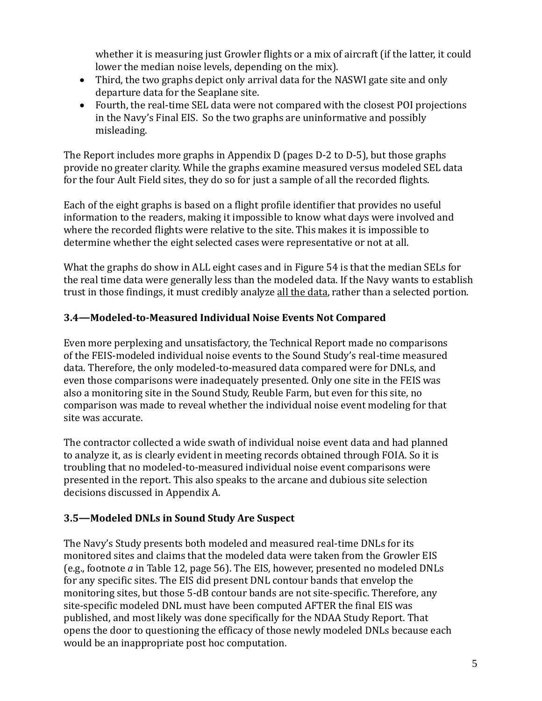whether it is measuring just Growler flights or a mix of aircraft (if the latter, it could lower the median noise levels, depending on the mix).

- Third, the two graphs depict only arrival data for the NASWI gate site and only departure data for the Seaplane site.
- Fourth, the real-time SEL data were not compared with the closest POI projections in the Navy's Final EIS. So the two graphs are uninformative and possibly misleading.

The Report includes more graphs in Appendix D (pages D-2 to D-5), but those graphs provide no greater clarity. While the graphs examine measured versus modeled SEL data for the four Ault Field sites, they do so for just a sample of all the recorded flights.

Each of the eight graphs is based on a flight profile identifier that provides no useful information to the readers, making it impossible to know what days were involved and where the recorded flights were relative to the site. This makes it is impossible to determine whether the eight selected cases were representative or not at all.

What the graphs do show in ALL eight cases and in Figure 54 is that the median SELs for the real time data were generally less than the modeled data. If the Navy wants to establish trust in those findings, it must credibly analyze all the data, rather than a selected portion.

## **3.4—Modeled-to-Measured Individual Noise Events Not Compared**

Even more perplexing and unsatisfactory, the Technical Report made no comparisons of the FEIS-modeled individual noise events to the Sound Study's real-time measured data. Therefore, the only modeled-to-measured data compared were for DNLs, and even those comparisons were inadequately presented. Only one site in the FEIS was also a monitoring site in the Sound Study, Reuble Farm, but even for this site, no comparison was made to reveal whether the individual noise event modeling for that site was accurate.

The contractor collected a wide swath of individual noise event data and had planned to analyze it, as is clearly evident in meeting records obtained through FOIA. So it is troubling that no modeled-to-measured individual noise event comparisons were presented in the report. This also speaks to the arcane and dubious site selection decisions discussed in Appendix A.

#### **3.5—Modeled DNLs in Sound Study Are Suspect**

The Navy's Study presents both modeled and measured real-time DNLs for its monitored sites and claims that the modeled data were taken from the Growler EIS (e.g., footnote *a* in Table 12, page 56). The EIS, however, presented no modeled DNLs for any specific sites. The EIS did present DNL contour bands that envelop the monitoring sites, but those 5-dB contour bands are not site-specific. Therefore, any site-specific modeled DNL must have been computed AFTER the final EIS was published, and most likely was done specifically for the NDAA Study Report. That opens the door to questioning the efficacy of those newly modeled DNLs because each would be an inappropriate post hoc computation.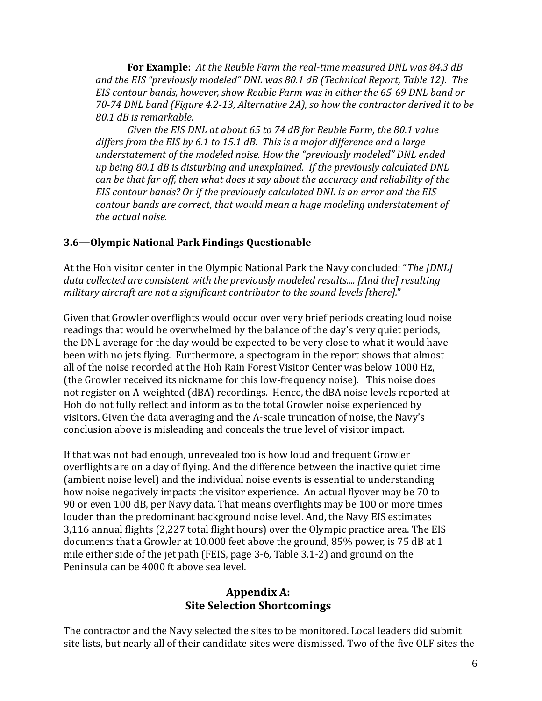**For Example:** *At the Reuble Farm the real-time measured DNL was 84.3 dB and the EIS "previously modeled" DNL was 80.1 dB (Technical Report, Table 12). The EIS contour bands, however, show Reuble Farm was in either the 65-69 DNL band or 70-74 DNL band (Figure 4.2-13, Alternative 2A), so how the contractor derived it to be 80.1 dB is remarkable.*

*Given the EIS DNL at about 65 to 74 dB for Reuble Farm, the 80.1 value differs from the EIS by 6.1 to 15.1 dB. This is a major difference and a large understatement of the modeled noise. How the "previously modeled" DNL ended up being 80.1 dB is disturbing and unexplained. If the previously calculated DNL can be that far off, then what does it say about the accuracy and reliability of the EIS contour bands? Or if the previously calculated DNL is an error and the EIS contour bands are correct, that would mean a huge modeling understatement of the actual noise.*

#### **3.6—Olympic National Park Findings Questionable**

At the Hoh visitor center in the Olympic National Park the Navy concluded: "*The [DNL] data collected are consistent with the previously modeled results.... [And the] resulting military aircraft are not a significant contributor to the sound levels [there].*"

Given that Growler overflights would occur over very brief periods creating loud noise readings that would be overwhelmed by the balance of the day's very quiet periods, the DNL average for the day would be expected to be very close to what it would have been with no jets flying. Furthermore, a spectogram in the report shows that almost all of the noise recorded at the Hoh Rain Forest Visitor Center was below 1000 Hz, (the Growler received its nickname for this low-frequency noise). This noise does not register on A-weighted (dBA) recordings. Hence, the dBA noise levels reported at Hoh do not fully reflect and inform as to the total Growler noise experienced by visitors. Given the data averaging and the A-scale truncation of noise, the Navy's conclusion above is misleading and conceals the true level of visitor impact.

If that was not bad enough, unrevealed too is how loud and frequent Growler overflights are on a day of flying. And the difference between the inactive quiet time (ambient noise level) and the individual noise events is essential to understanding how noise negatively impacts the visitor experience. An actual flyover may be 70 to 90 or even 100 dB, per Navy data. That means overflights may be 100 or more times louder than the predominant background noise level. And, the Navy EIS estimates 3,116 annual flights (2,227 total flight hours) over the Olympic practice area. The EIS documents that a Growler at 10,000 feet above the ground, 85% power, is 75 dB at 1 mile either side of the jet path (FEIS, page 3-6, Table 3.1-2) and ground on the Peninsula can be 4000 ft above sea level.

#### **Appendix A: Site Selection Shortcomings**

The contractor and the Navy selected the sites to be monitored. Local leaders did submit site lists, but nearly all of their candidate sites were dismissed. Two of the five OLF sites the